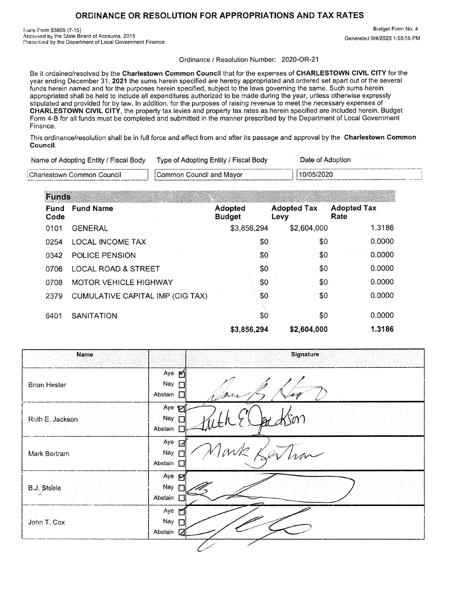## **ORDINANCE OR RESOLUTION FOR APPROPRIATIONS AND TAX RATES**

State Form 55865 (7-15) Approved by the State Board of Accounts, 2015 Prescribed by the Department of Local Government Finance

Budget Form No. 4 Generated 9/4/2020 1:55:55 PM

Ordinance / Resolution Number: 2020-OR-21

Be it ordained/resolved by the Charlestown Common Council that for the expenses of CHARLESTOWN CIVIL CITY for the year ending December 31, **2021** the sums herein specified are hereby appropriated and ordered set apart out of the several funds herein named and for the purposes herein specified, subject to the laws governing the same. Such sums herein appropriated shall be held to include all expenditures authorized to be made during the year, unless otherwise expressly stipulated and provided for by law. In addition, for the purposes of raising revenue to meet the necessary expenses of CHARLESTOWN CIVIL CITY, the property tax levies and property tax rates as herein specified are included herein. Budget Form 4-B for all funds must be completed and submitted in the manner prescribed by the Department of Local Government Finance.

This ordinance/resolution shall be in full force and effect from and after its passage and approval by the Charlestown Common Council.

| Name of Adopting Entity / Fiscal Body   Type of Adopting Entity / Fiscal Body | Date of Adoption |
|-------------------------------------------------------------------------------|------------------|
|                                                                               |                  |

| Charlestown Common Council | Common Council and Mayor | 10/05/2020        |
|----------------------------|--------------------------|-------------------|
|                            |                          | <b>CONTRACTOR</b> |

| <b>Funds</b> |                                  |                          |                            |                            |
|--------------|----------------------------------|--------------------------|----------------------------|----------------------------|
| Fund<br>Code | <b>Fund Name</b>                 | Adopted<br><b>Budget</b> | <b>Adopted Tax</b><br>Levy | <b>Adopted Tax</b><br>Rate |
| 0101         | <b>GENERAL</b>                   | \$3,856,294              | \$2,604,000                | 1.3186                     |
| 0254         | <b>LOCAL INCOME TAX</b>          | \$0                      | \$0                        | 0.0000                     |
| 0342         | POLICE PENSION                   | \$0                      | \$0                        | 0.0000                     |
| 0706         | <b>LOCAL ROAD &amp; STREET</b>   | \$0                      | \$0                        | 0.0000                     |
| 0708         | <b>MOTOR VEHICLE HIGHWAY</b>     | \$0                      | \$0                        | 0.0000                     |
| 2379         | CUMULATIVE CAPITAL IMP (CIG TAX) | \$0                      | \$0                        | 0.0000                     |
| 6401         | <b>SANITATION</b>                | \$0                      | \$0                        | 0.0000                     |
|              |                                  | \$3,856,294              | \$2,604,000                | 1.3186                     |

|                                                | Signature                       |
|------------------------------------------------|---------------------------------|
| Aye $R$<br>Nay $\Gamma$<br>Abstain             |                                 |
| Nay<br>Abstain                                 |                                 |
| Nay<br>Abstain                                 | han                             |
| Aye p<br>Nay<br>Abstain                        |                                 |
| $Aye$ $\triangleright$<br>Nay<br>Abstain<br>17 |                                 |
|                                                | Aye <b>M</b><br>Aye $\boxtimes$ |